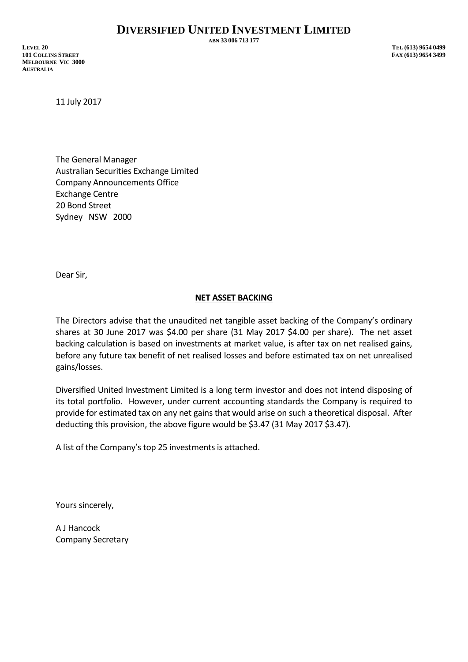**ABN 33 006 713 177**

**LEVEL 20 TEL (613) 9654 0499 101 COLLINS STREET FAX (613) 9654 3499 MELBOURNE VIC 3000 AUSTRALIA**

11 July 2017

The General Manager Australian Securities Exchange Limited Company Announcements Office Exchange Centre 20 Bond Street Sydney NSW 2000

Dear Sir,

## **NET ASSET BACKING**

The Directors advise that the unaudited net tangible asset backing of the Company's ordinary shares at 30 June 2017 was \$4.00 per share (31 May 2017 \$4.00 per share). The net asset backing calculation is based on investments at market value, is after tax on net realised gains, before any future tax benefit of net realised losses and before estimated tax on net unrealised gains/losses.

Diversified United Investment Limited is a long term investor and does not intend disposing of its total portfolio. However, under current accounting standards the Company is required to provide for estimated tax on any net gains that would arise on such a theoretical disposal. After deducting this provision, the above figure would be \$3.47 (31 May 2017 \$3.47).

A list of the Company's top 25 investments is attached.

Yours sincerely,

A J Hancock Company Secretary